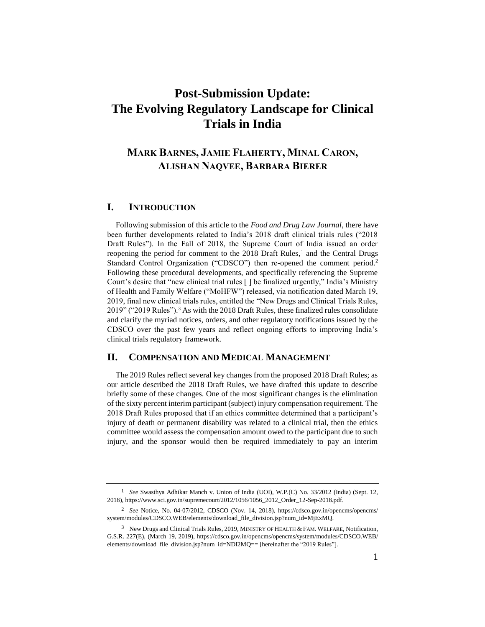# **Post-Submission Update: The Evolving Regulatory Landscape for Clinical Trials in India**

# **MARK BARNES, JAMIE FLAHERTY, MINAL CARON, ALISHAN NAQVEE, BARBARA BIERER**

#### **I. INTRODUCTION**

Following submission of this article to the *Food and Drug Law Journal*, there have been further developments related to India's 2018 draft clinical trials rules ("2018 Draft Rules"). In the Fall of 2018, the Supreme Court of India issued an order reopening the period for comment to the  $2018$  Draft Rules,<sup>1</sup> and the Central Drugs Standard Control Organization ("CDSCO") then re-opened the comment period.<sup>2</sup> Following these procedural developments, and specifically referencing the Supreme Court's desire that "new clinical trial rules [ ] be finalized urgently," India's Ministry of Health and Family Welfare ("MoHFW") released, via notification dated March 19, 2019, final new clinical trials rules, entitled the "New Drugs and Clinical Trials Rules, 2019" ("2019 Rules").<sup>3</sup> As with the 2018 Draft Rules, these finalized rules consolidate and clarify the myriad notices, orders, and other regulatory notifications issued by the CDSCO over the past few years and reflect ongoing efforts to improving India's clinical trials regulatory framework.

#### **II. COMPENSATION AND MEDICAL MANAGEMENT**

The 2019 Rules reflect several key changes from the proposed 2018 Draft Rules; as our article described the 2018 Draft Rules, we have drafted this update to describe briefly some of these changes. One of the most significant changes is the elimination of the sixty percent interim participant (subject) injury compensation requirement. The 2018 Draft Rules proposed that if an ethics committee determined that a participant's injury of death or permanent disability was related to a clinical trial, then the ethics committee would assess the compensation amount owed to the participant due to such injury, and the sponsor would then be required immediately to pay an interim

<sup>1</sup> *See* Swasthya Adhikar Manch v. Union of India (UOI), W.P.(C) No. 33/2012 (India) (Sept. 12, 2018)[, https://www.sci.gov.in/supremecourt/2012/1056/1056\\_2012\\_Order\\_12-Sep-2018.pdf.](https://www.sci.gov.in/supremecourt/2012/1056/1056_2012_Order_12-Sep-2018.pdf)

<sup>2</sup> *See* Notice, No. 04-07/2012, CDSCO (Nov. 14, 2018), [https://cdsco.gov.in/opencms/opencms/](https://cdsco.gov.in/opencms/opencms/system/modules/CDSCO.WEB/elements/download_file_division.jsp?num_id=MjExMQ) [system/modules/CDSCO.WEB/elements/download\\_file\\_division.jsp?num\\_id=MjExMQ.](https://cdsco.gov.in/opencms/opencms/system/modules/CDSCO.WEB/elements/download_file_division.jsp?num_id=MjExMQ)

 $3$  New Drugs and Clinical Trials Rules, 2019, MINISTRY OF HEALTH & FAM. WELFARE, Notification, G.S.R. 227(E), (March 19, 2019), [https://cdsco.gov.in/opencms/opencms/system/modules/CDSCO.WEB/](https://cdsco.gov.in/opencms/opencms/system/modules/CDSCO.WEB/elements/download_file_division.jsp?num_id=NDI2MQ==) [elements/download\\_file\\_division.jsp?num\\_id=NDI2MQ==](https://cdsco.gov.in/opencms/opencms/system/modules/CDSCO.WEB/elements/download_file_division.jsp?num_id=NDI2MQ==) [hereinafter the "2019 Rules"].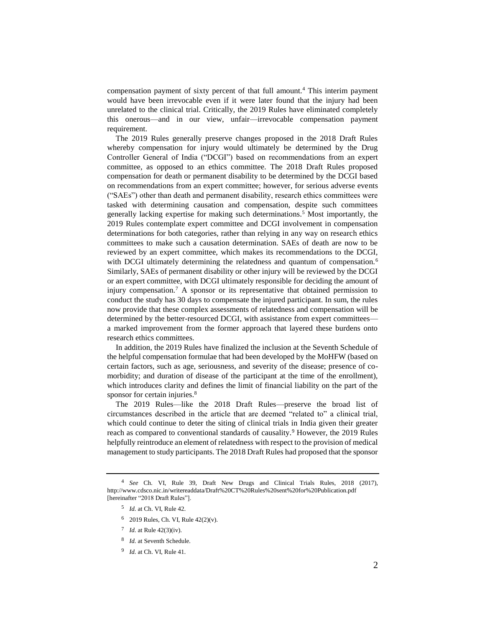compensation payment of sixty percent of that full amount.<sup>4</sup> This interim payment would have been irrevocable even if it were later found that the injury had been unrelated to the clinical trial. Critically, the 2019 Rules have eliminated completely this onerous—and in our view, unfair—irrevocable compensation payment requirement.

The 2019 Rules generally preserve changes proposed in the 2018 Draft Rules whereby compensation for injury would ultimately be determined by the Drug Controller General of India ("DCGI") based on recommendations from an expert committee, as opposed to an ethics committee. The 2018 Draft Rules proposed compensation for death or permanent disability to be determined by the DCGI based on recommendations from an expert committee; however, for serious adverse events ("SAEs") other than death and permanent disability, research ethics committees were tasked with determining causation and compensation, despite such committees generally lacking expertise for making such determinations.<sup>5</sup> Most importantly, the 2019 Rules contemplate expert committee and DCGI involvement in compensation determinations for both categories, rather than relying in any way on research ethics committees to make such a causation determination. SAEs of death are now to be reviewed by an expert committee, which makes its recommendations to the DCGI, with DCGI ultimately determining the relatedness and quantum of compensation.<sup>6</sup> Similarly, SAEs of permanent disability or other injury will be reviewed by the DCGI or an expert committee, with DCGI ultimately responsible for deciding the amount of injury compensation.<sup>7</sup> A sponsor or its representative that obtained permission to conduct the study has 30 days to compensate the injured participant. In sum, the rules now provide that these complex assessments of relatedness and compensation will be determined by the better-resourced DCGI, with assistance from expert committees a marked improvement from the former approach that layered these burdens onto research ethics committees.

In addition, the 2019 Rules have finalized the inclusion at the Seventh Schedule of the helpful compensation formulae that had been developed by the MoHFW (based on certain factors, such as age, seriousness, and severity of the disease; presence of comorbidity; and duration of disease of the participant at the time of the enrollment), which introduces clarity and defines the limit of financial liability on the part of the sponsor for certain injuries.<sup>8</sup>

The 2019 Rules—like the 2018 Draft Rules—preserve the broad list of circumstances described in the article that are deemed "related to" a clinical trial, which could continue to deter the siting of clinical trials in India given their greater reach as compared to conventional standards of causality.<sup>9</sup> However, the 2019 Rules helpfully reintroduce an element of relatedness with respect to the provision of medical management to study participants. The 2018 Draft Rules had proposed that the sponsor

- 5 *Id.* at Ch. VI, Rule 42.
- <sup>6</sup> 2019 Rules*,* Ch. VI, Rule 42(2)(v).
- 7 *Id.* at Rule 42(3)(iv).
- 8 *Id.* at Seventh Schedule.
- 9 *Id.* at Ch. VI, Rule 41.

<sup>4</sup> *See* Ch. VI, Rule 39, Draft New Drugs and Clinical Trials Rules, 2018 (2017), <http://www.cdsco.nic.in/writereaddata/Draft%20CT%20Rules%20sent%20for%20Publication.pdf> [hereinafter "2018 Draft Rules"].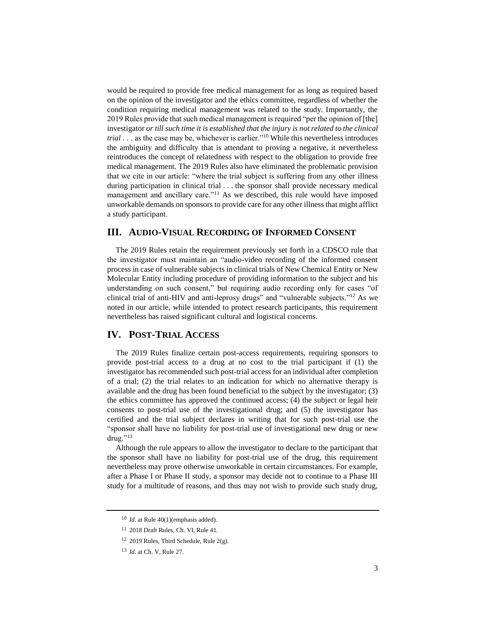would be required to provide free medical management for as long as required based on the opinion of the investigator and the ethics committee, regardless of whether the condition requiring medical management was related to the study. Importantly, the 2019 Rules provide that such medical management is required "per the opinion of [the] investigator *or till such time it is established that the injury is not related to the clinical trial* . . . as the case may be, whichever is earlier."<sup>10</sup> While this nevertheless introduces the ambiguity and difficulty that is attendant to proving a negative, it nevertheless reintroduces the concept of relatedness with respect to the obligation to provide free medical management. The 2019 Rules also have eliminated the problematic provision that we cite in our article: "where the trial subject is suffering from any other illness during participation in clinical trial . . . the sponsor shall provide necessary medical management and ancillary care."<sup>11</sup> As we described, this rule would have imposed unworkable demands on sponsors to provide care for any other illness that might afflict a study participant.

## **III. AUDIO-VISUAL RECORDING OF INFORMED CONSENT**

The 2019 Rules retain the requirement previously set forth in a CDSCO rule that the investigator must maintain an "audio-video recording of the informed consent process in case of vulnerable subjects in clinical trials of New Chemical Entity or New Molecular Entity including procedure of providing information to the subject and his understanding on such consent," but requiring audio recording only for cases "of clinical trial of anti-HIV and anti-leprosy drugs" and "vulnerable subjects."<sup>12</sup> As we noted in our article, while intended to protect research participants, this requirement nevertheless has raised significant cultural and logistical concerns.

# **IV. POST-TRIAL ACCESS**

The 2019 Rules finalize certain post-access requirements, requiring sponsors to provide post-trial access to a drug at no cost to the trial participant if (1) the investigator has recommended such post-trial access for an individual after completion of a trial; (2) the trial relates to an indication for which no alternative therapy is available and the drug has been found beneficial to the subject by the investigator; (3) the ethics committee has approved the continued access; (4) the subject or legal heir consents to post-trial use of the investigational drug; and (5) the investigator has certified and the trial subject declares in writing that for such post-trial use the "sponsor shall have no liability for post-trial use of investigational new drug or new drug."<sup>13</sup>

Although the rule appears to allow the investigator to declare to the participant that the sponsor shall have no liability for post-trial use of the drug, this requirement nevertheless may prove otherwise unworkable in certain circumstances. For example, after a Phase I or Phase II study, a sponsor may decide not to continue to a Phase III study for a multitude of reasons, and thus may not wish to provide such study drug,

<sup>10</sup> *Id.* at Rule 40(1)(emphasis added).

<sup>11</sup> 2018 Draft Rules, Ch. VI, Rule 41.

<sup>12</sup> 2019 Rules, Third Schedule, Rule 2(g).

<sup>13</sup> *Id.* at Ch. V, Rule 27.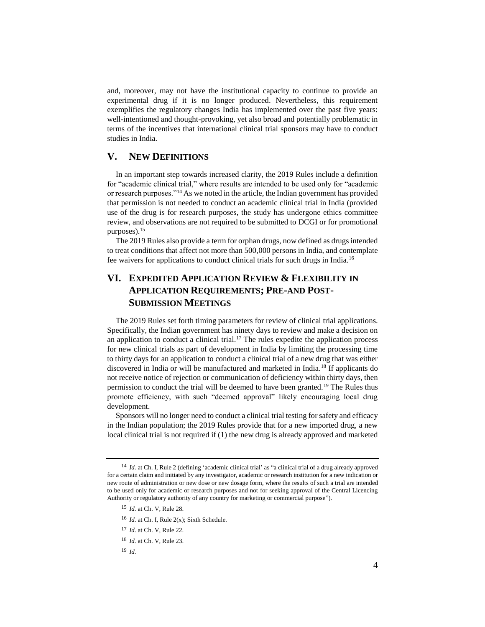and, moreover, may not have the institutional capacity to continue to provide an experimental drug if it is no longer produced. Nevertheless, this requirement exemplifies the regulatory changes India has implemented over the past five years: well-intentioned and thought-provoking, yet also broad and potentially problematic in terms of the incentives that international clinical trial sponsors may have to conduct studies in India.

## **V. NEW DEFINITIONS**

In an important step towards increased clarity, the 2019 Rules include a definition for "academic clinical trial," where results are intended to be used only for "academic or research purposes."<sup>14</sup> As we noted in the article, the Indian government has provided that permission is not needed to conduct an academic clinical trial in India (provided use of the drug is for research purposes, the study has undergone ethics committee review, and observations are not required to be submitted to DCGI or for promotional purposes).<sup>15</sup>

The 2019 Rules also provide a term for orphan drugs, now defined as drugs intended to treat conditions that affect not more than 500,000 persons in India, and contemplate fee waivers for applications to conduct clinical trials for such drugs in India.<sup>16</sup>

# **VI. EXPEDITED APPLICATION REVIEW & FLEXIBILITY IN APPLICATION REQUIREMENTS; PRE-AND POST-SUBMISSION MEETINGS**

The 2019 Rules set forth timing parameters for review of clinical trial applications. Specifically, the Indian government has ninety days to review and make a decision on an application to conduct a clinical trial.<sup>17</sup> The rules expedite the application process for new clinical trials as part of development in India by limiting the processing time to thirty days for an application to conduct a clinical trial of a new drug that was either discovered in India or will be manufactured and marketed in India.<sup>18</sup> If applicants do not receive notice of rejection or communication of deficiency within thirty days, then permission to conduct the trial will be deemed to have been granted.<sup>19</sup> The Rules thus promote efficiency, with such "deemed approval" likely encouraging local drug development.

Sponsors will no longer need to conduct a clinical trial testing for safety and efficacy in the Indian population; the 2019 Rules provide that for a new imported drug, a new local clinical trial is not required if (1) the new drug is already approved and marketed

<sup>14</sup> *Id.* at Ch. I, Rule 2 (defining 'academic clinical trial' as "a clinical trial of a drug already approved for a certain claim and initiated by any investigator, academic or research institution for a new indication or new route of administration or new dose or new dosage form, where the results of such a trial are intended to be used only for academic or research purposes and not for seeking approval of the Central Licencing Authority or regulatory authority of any country for marketing or commercial purpose").

<sup>15</sup> *Id.* at Ch. V, Rule 28.

<sup>16</sup> *Id.* at Ch. I, Rule 2(x); Sixth Schedule.

<sup>17</sup> *Id.* at Ch. V, Rule 22.

<sup>18</sup> *Id.* at Ch. V, Rule 23.

<sup>19</sup> *Id.*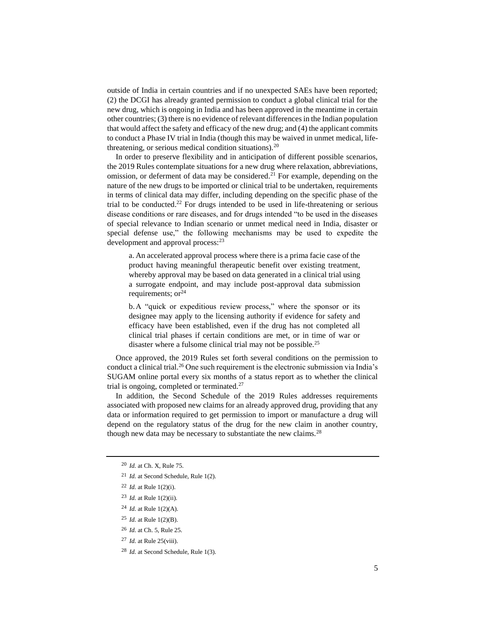outside of India in certain countries and if no unexpected SAEs have been reported; (2) the DCGI has already granted permission to conduct a global clinical trial for the new drug, which is ongoing in India and has been approved in the meantime in certain other countries; (3) there is no evidence of relevant differences in the Indian population that would affect the safety and efficacy of the new drug; and (4) the applicant commits to conduct a Phase IV trial in India (though this may be waived in unmet medical, lifethreatening, or serious medical condition situations). $^{20}$ 

In order to preserve flexibility and in anticipation of different possible scenarios, the 2019 Rules contemplate situations for a new drug where relaxation, abbreviations, omission, or deferment of data may be considered.<sup>21</sup> For example, depending on the nature of the new drugs to be imported or clinical trial to be undertaken, requirements in terms of clinical data may differ, including depending on the specific phase of the trial to be conducted.<sup>22</sup> For drugs intended to be used in life-threatening or serious disease conditions or rare diseases, and for drugs intended "to be used in the diseases of special relevance to Indian scenario or unmet medical need in India, disaster or special defense use," the following mechanisms may be used to expedite the development and approval process:<sup>23</sup>

a. An accelerated approval process where there is a prima facie case of the product having meaningful therapeutic benefit over existing treatment, whereby approval may be based on data generated in a clinical trial using a surrogate endpoint, and may include post-approval data submission requirements;  $or<sup>24</sup>$ 

b.A "quick or expeditious review process," where the sponsor or its designee may apply to the licensing authority if evidence for safety and efficacy have been established, even if the drug has not completed all clinical trial phases if certain conditions are met, or in time of war or disaster where a fulsome clinical trial may not be possible.<sup>25</sup>

Once approved, the 2019 Rules set forth several conditions on the permission to conduct a clinical trial.<sup>26</sup> One such requirement is the electronic submission via India's SUGAM online portal every six months of a status report as to whether the clinical trial is ongoing, completed or terminated. $27$ 

In addition, the Second Schedule of the 2019 Rules addresses requirements associated with proposed new claims for an already approved drug, providing that any data or information required to get permission to import or manufacture a drug will depend on the regulatory status of the drug for the new claim in another country, though new data may be necessary to substantiate the new claims.<sup>28</sup>

- <sup>22</sup> *Id.* at Rule 1(2)(i).
- <sup>23</sup> *Id.* at Rule 1(2)(ii).
- <sup>24</sup> *Id.* at Rule 1(2)(A).
- <sup>25</sup> *Id.* at Rule 1(2)(B).
- <sup>26</sup> *Id.* at Ch. 5, Rule 25.
- <sup>27</sup> *Id.* at Rule 25(viii).
- <sup>28</sup> *Id.* at Second Schedule, Rule 1(3).

<sup>20</sup> *Id.* at Ch. X, Rule 75.

<sup>21</sup> *Id.* at Second Schedule, Rule 1(2).